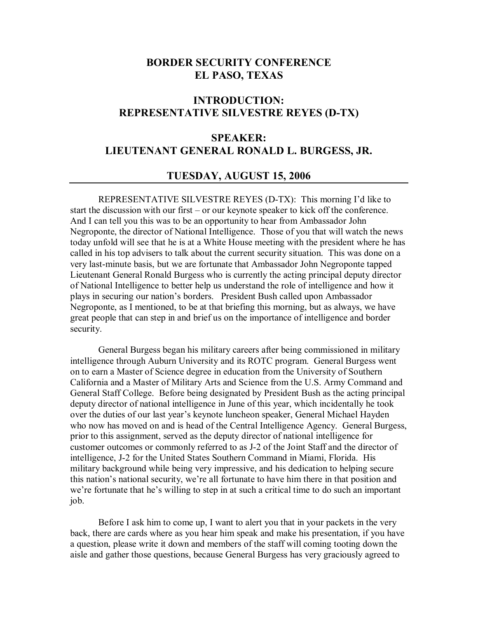## **BORDER SECURITY CONFERENCE EL PASO, TEXAS**

# **INTRODUCTION: REPRESENTATIVE SILVESTRE REYES (D-TX)**

# **SPEAKER: LIEUTENANT GENERAL RONALD L. BURGESS, JR.**

### **TUESDAY, AUGUST 15, 2006**

REPRESENTATIVE SILVESTRE REYES (D-TX): This morning I'd like to start the discussion with our first  $-$  or our keynote speaker to kick off the conference. And I can tell you this was to be an opportunity to hear from Ambassador John Negroponte, the director of National Intelligence. Those of you that will watch the news today unfold will see that he is at a White House meeting with the president where he has called in his top advisers to talk about the current security situation. This was done on a very last-minute basis, but we are fortunate that Ambassador John Negroponte tapped Lieutenant General Ronald Burgess who is currently the acting principal deputy director of National Intelligence to better help us understand the role of intelligence and how it plays in securing our nation's borders. President Bush called upon Ambassador Negroponte, as I mentioned, to be at that briefing this morning, but as always, we have great people that can step in and brief us on the importance of intelligence and border security.

General Burgess began his military careers after being commissioned in military intelligence through Auburn University and its ROTC program. General Burgess went on to earn a Master of Science degree in education from the University of Southern California and a Master of Military Arts and Science from the U.S. Army Command and General Staff College. Before being designated by President Bush as the acting principal deputy director of national intelligence in June of this year, which incidentally he took over the duties of our last year's keynote luncheon speaker, General Michael Hayden who now has moved on and is head of the Central Intelligence Agency. General Burgess, prior to this assignment, served as the deputy director of national intelligence for customer outcomes or commonly referred to as J-2 of the Joint Staff and the director of intelligence, J-2 for the United States Southern Command in Miami, Florida. His military background while being very impressive, and his dedication to helping secure this nation's national security, we're all fortunate to have him there in that position and we're fortunate that he's willing to step in at such a critical time to do such an important job.

 Before I ask him to come up, I want to alert you that in your packets in the very back, there are cards where as you hear him speak and make his presentation, if you have a question, please write it down and members of the staff will coming tooting down the aisle and gather those questions, because General Burgess has very graciously agreed to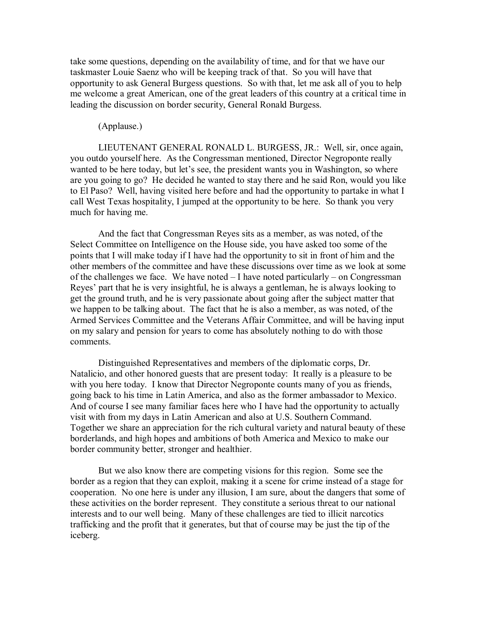take some questions, depending on the availability of time, and for that we have our taskmaster Louie Saenz who will be keeping track of that. So you will have that opportunity to ask General Burgess questions. So with that, let me ask all of you to help me welcome a great American, one of the great leaders of this country at a critical time in leading the discussion on border security, General Ronald Burgess.

#### (Applause.)

 LIEUTENANT GENERAL RONALD L. BURGESS, JR.: Well, sir, once again, you outdo yourself here. As the Congressman mentioned, Director Negroponte really wanted to be here today, but let's see, the president wants you in Washington, so where are you going to go? He decided he wanted to stay there and he said Ron, would you like to El Paso? Well, having visited here before and had the opportunity to partake in what I call West Texas hospitality, I jumped at the opportunity to be here. So thank you very much for having me.

And the fact that Congressman Reyes sits as a member, as was noted, of the Select Committee on Intelligence on the House side, you have asked too some of the points that I will make today if I have had the opportunity to sit in front of him and the other members of the committee and have these discussions over time as we look at some of the challenges we face. We have noted  $-I$  have noted particularly  $-$  on Congressman Reyes' part that he is very insightful, he is always a gentleman, he is always looking to get the ground truth, and he is very passionate about going after the subject matter that we happen to be talking about. The fact that he is also a member, as was noted, of the Armed Services Committee and the Veterans Affair Committee, and will be having input on my salary and pension for years to come has absolutely nothing to do with those comments.

Distinguished Representatives and members of the diplomatic corps, Dr. Natalicio, and other honored guests that are present today: It really is a pleasure to be with you here today. I know that Director Negroponte counts many of you as friends, going back to his time in Latin America, and also as the former ambassador to Mexico. And of course I see many familiar faces here who I have had the opportunity to actually visit with from my days in Latin American and also at U.S. Southern Command. Together we share an appreciation for the rich cultural variety and natural beauty of these borderlands, and high hopes and ambitions of both America and Mexico to make our border community better, stronger and healthier.

But we also know there are competing visions for this region. Some see the border as a region that they can exploit, making it a scene for crime instead of a stage for cooperation. No one here is under any illusion, I am sure, about the dangers that some of these activities on the border represent. They constitute a serious threat to our national interests and to our well being. Many of these challenges are tied to illicit narcotics trafficking and the profit that it generates, but that of course may be just the tip of the iceberg.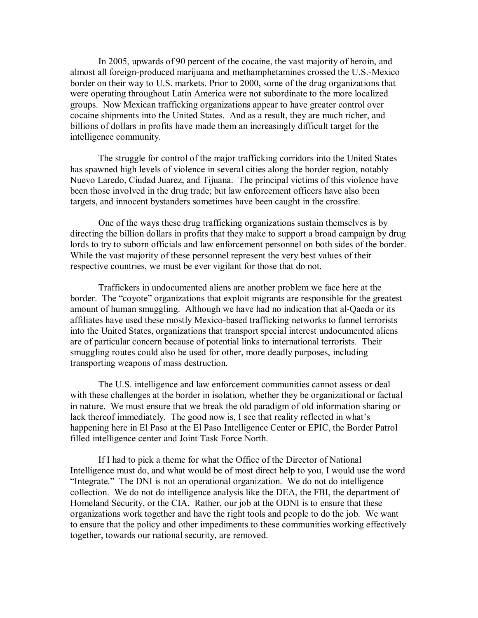In 2005, upwards of 90 percent of the cocaine, the vast majority of heroin, and almost all foreign-produced marijuana and methamphetamines crossed the U.S.-Mexico border on their way to U.S. markets. Prior to 2000, some of the drug organizations that were operating throughout Latin America were not subordinate to the more localized groups. Now Mexican trafficking organizations appear to have greater control over cocaine shipments into the United States. And as a result, they are much richer, and billions of dollars in profits have made them an increasingly difficult target for the intelligence community.

The struggle for control of the major trafficking corridors into the United States has spawned high levels of violence in several cities along the border region, notably Nuevo Laredo, Ciudad Juarez, and Tijuana. The principal victims of this violence have been those involved in the drug trade; but law enforcement officers have also been targets, and innocent bystanders sometimes have been caught in the crossfire.

One of the ways these drug trafficking organizations sustain themselves is by directing the billion dollars in profits that they make to support a broad campaign by drug lords to try to suborn officials and law enforcement personnel on both sides of the border. While the vast majority of these personnel represent the very best values of their respective countries, we must be ever vigilant for those that do not.

Traffickers in undocumented aliens are another problem we face here at the border. The "coyote" organizations that exploit migrants are responsible for the greatest amount of human smuggling. Although we have had no indication that al-Qaeda or its affiliates have used these mostly Mexico-based trafficking networks to funnel terrorists into the United States, organizations that transport special interest undocumented aliens are of particular concern because of potential links to international terrorists. Their smuggling routes could also be used for other, more deadly purposes, including transporting weapons of mass destruction.

The U.S. intelligence and law enforcement communities cannot assess or deal with these challenges at the border in isolation, whether they be organizational or factual in nature. We must ensure that we break the old paradigm of old information sharing or lack thereof immediately. The good now is, I see that reality reflected in what's happening here in El Paso at the El Paso Intelligence Center or EPIC, the Border Patrol filled intelligence center and Joint Task Force North.

If I had to pick a theme for what the Office of the Director of National Intelligence must do, and what would be of most direct help to you, I would use the word "Integrate." The DNI is not an operational organization. We do not do intelligence collection. We do not do intelligence analysis like the DEA, the FBI, the department of Homeland Security, or the CIA. Rather, our job at the ODNI is to ensure that these organizations work together and have the right tools and people to do the job. We want to ensure that the policy and other impediments to these communities working effectively together, towards our national security, are removed.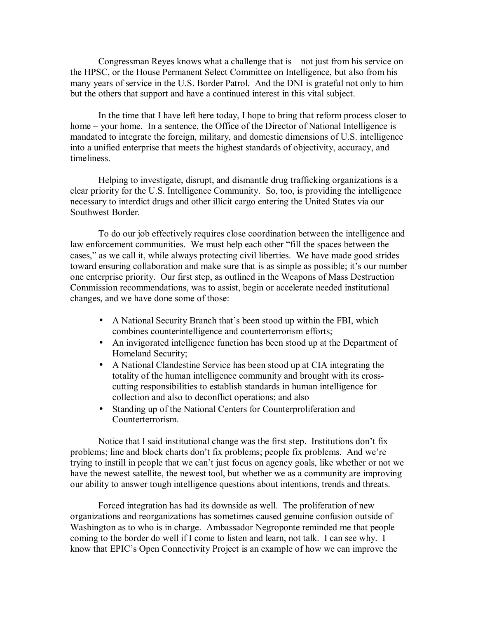Congressman Reyes knows what a challenge that is  $-$  not just from his service on the HPSC, or the House Permanent Select Committee on Intelligence, but also from his many years of service in the U.S. Border Patrol. And the DNI is grateful not only to him but the others that support and have a continued interest in this vital subject.

In the time that I have left here today, I hope to bring that reform process closer to home – your home. In a sentence, the Office of the Director of National Intelligence is mandated to integrate the foreign, military, and domestic dimensions of U.S. intelligence into a unified enterprise that meets the highest standards of objectivity, accuracy, and timeliness.

Helping to investigate, disrupt, and dismantle drug trafficking organizations is a clear priority for the U.S. Intelligence Community. So, too, is providing the intelligence necessary to interdict drugs and other illicit cargo entering the United States via our Southwest Border.

To do our job effectively requires close coordination between the intelligence and law enforcement communities. We must help each other "fill the spaces between the cases," as we call it, while always protecting civil liberties. We have made good strides toward ensuring collaboration and make sure that is as simple as possible; it's our number one enterprise priority. Our first step, as outlined in the Weapons of Mass Destruction Commission recommendations, was to assist, begin or accelerate needed institutional changes, and we have done some of those:

- A National Security Branch that's been stood up within the FBI, which combines counterintelligence and counterterrorism efforts;
- An invigorated intelligence function has been stood up at the Department of Homeland Security;
- A National Clandestine Service has been stood up at CIA integrating the totality of the human intelligence community and brought with its crosscutting responsibilities to establish standards in human intelligence for collection and also to deconflict operations; and also
- Standing up of the National Centers for Counterproliferation and Counterterrorism.

Notice that I said institutional change was the first step. Institutions don't fix problems; line and block charts don't fix problems; people fix problems. And we're trying to instill in people that we can't just focus on agency goals, like whether or not we have the newest satellite, the newest tool, but whether we as a community are improving our ability to answer tough intelligence questions about intentions, trends and threats.

Forced integration has had its downside as well. The proliferation of new organizations and reorganizations has sometimes caused genuine confusion outside of Washington as to who is in charge. Ambassador Negroponte reminded me that people coming to the border do well if I come to listen and learn, not talk. I can see why. I know that EPIC's Open Connectivity Project is an example of how we can improve the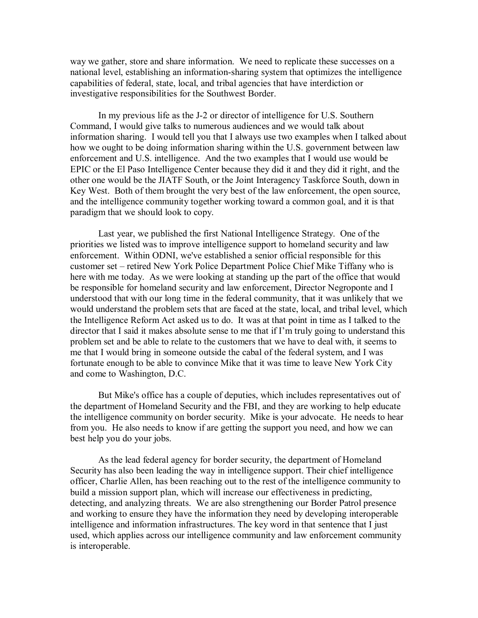way we gather, store and share information. We need to replicate these successes on a national level, establishing an information-sharing system that optimizes the intelligence capabilities of federal, state, local, and tribal agencies that have interdiction or investigative responsibilities for the Southwest Border.

In my previous life as the J-2 or director of intelligence for U.S. Southern Command, I would give talks to numerous audiences and we would talk about information sharing. I would tell you that I always use two examples when I talked about how we ought to be doing information sharing within the U.S. government between law enforcement and U.S. intelligence. And the two examples that I would use would be EPIC or the El Paso Intelligence Center because they did it and they did it right, and the other one would be the JIATF South, or the Joint Interagency Taskforce South, down in Key West. Both of them brought the very best of the law enforcement, the open source, and the intelligence community together working toward a common goal, and it is that paradigm that we should look to copy.

Last year, we published the first National Intelligence Strategy. One of the priorities we listed was to improve intelligence support to homeland security and law enforcement. Within ODNI, we've established a senior official responsible for this customer set – retired New York Police Department Police Chief Mike Tiffany who is here with me today. As we were looking at standing up the part of the office that would be responsible for homeland security and law enforcement, Director Negroponte and I understood that with our long time in the federal community, that it was unlikely that we would understand the problem sets that are faced at the state, local, and tribal level, which the Intelligence Reform Act asked us to do. It was at that point in time as I talked to the director that I said it makes absolute sense to me that if I'm truly going to understand this problem set and be able to relate to the customers that we have to deal with, it seems to me that I would bring in someone outside the cabal of the federal system, and I was fortunate enough to be able to convince Mike that it was time to leave New York City and come to Washington, D.C.

But Mike's office has a couple of deputies, which includes representatives out of the department of Homeland Security and the FBI, and they are working to help educate the intelligence community on border security. Mike is your advocate. He needs to hear from you. He also needs to know if are getting the support you need, and how we can best help you do your jobs.

As the lead federal agency for border security, the department of Homeland Security has also been leading the way in intelligence support. Their chief intelligence officer, Charlie Allen, has been reaching out to the rest of the intelligence community to build a mission support plan, which will increase our effectiveness in predicting, detecting, and analyzing threats. We are also strengthening our Border Patrol presence and working to ensure they have the information they need by developing interoperable intelligence and information infrastructures. The key word in that sentence that I just used, which applies across our intelligence community and law enforcement community is interoperable.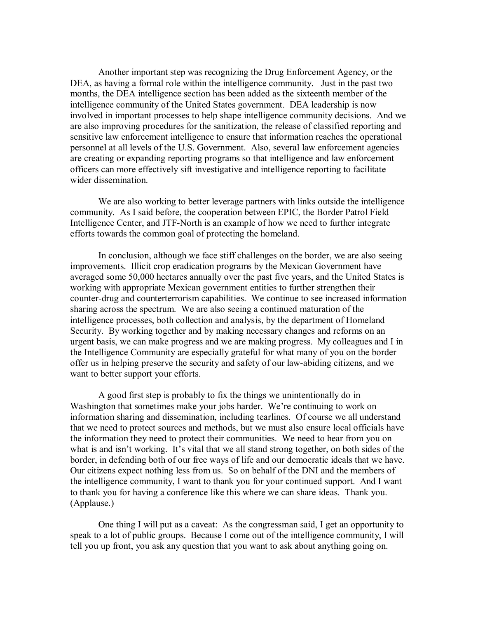Another important step was recognizing the Drug Enforcement Agency, or the DEA, as having a formal role within the intelligence community. Just in the past two months, the DEA intelligence section has been added as the sixteenth member of the intelligence community of the United States government. DEA leadership is now involved in important processes to help shape intelligence community decisions. And we are also improving procedures for the sanitization, the release of classified reporting and sensitive law enforcement intelligence to ensure that information reaches the operational personnel at all levels of the U.S. Government. Also, several law enforcement agencies are creating or expanding reporting programs so that intelligence and law enforcement officers can more effectively sift investigative and intelligence reporting to facilitate wider dissemination.

We are also working to better leverage partners with links outside the intelligence community. As I said before, the cooperation between EPIC, the Border Patrol Field Intelligence Center, and JTF-North is an example of how we need to further integrate efforts towards the common goal of protecting the homeland.

In conclusion, although we face stiff challenges on the border, we are also seeing improvements. Illicit crop eradication programs by the Mexican Government have averaged some 50,000 hectares annually over the past five years, and the United States is working with appropriate Mexican government entities to further strengthen their counter-drug and counterterrorism capabilities. We continue to see increased information sharing across the spectrum. We are also seeing a continued maturation of the intelligence processes, both collection and analysis, by the department of Homeland Security. By working together and by making necessary changes and reforms on an urgent basis, we can make progress and we are making progress. My colleagues and I in the Intelligence Community are especially grateful for what many of you on the border offer us in helping preserve the security and safety of our law-abiding citizens, and we want to better support your efforts.

A good first step is probably to fix the things we unintentionally do in Washington that sometimes make your jobs harder. We're continuing to work on information sharing and dissemination, including tearlines. Of course we all understand that we need to protect sources and methods, but we must also ensure local officials have the information they need to protect their communities. We need to hear from you on what is and isn't working. It's vital that we all stand strong together, on both sides of the border, in defending both of our free ways of life and our democratic ideals that we have. Our citizens expect nothing less from us. So on behalf of the DNI and the members of the intelligence community, I want to thank you for your continued support. And I want to thank you for having a conference like this where we can share ideas. Thank you. (Applause.)

One thing I will put as a caveat: As the congressman said, I get an opportunity to speak to a lot of public groups. Because I come out of the intelligence community, I will tell you up front, you ask any question that you want to ask about anything going on.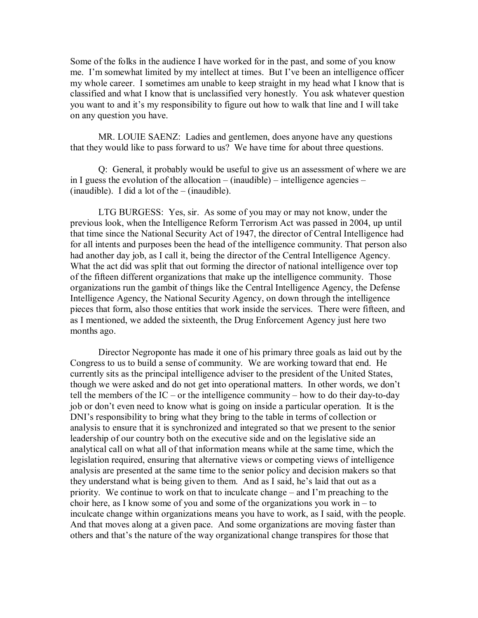Some of the folks in the audience I have worked for in the past, and some of you know me. I'm somewhat limited by my intellect at times. But I've been an intelligence officer my whole career. I sometimes am unable to keep straight in my head what I know that is classified and what I know that is unclassified very honestly. You ask whatever question you want to and it's my responsibility to figure out how to walk that line and I will take on any question you have.

MR. LOUIE SAENZ: Ladies and gentlemen, does anyone have any questions that they would like to pass forward to us? We have time for about three questions.

Q: General, it probably would be useful to give us an assessment of where we are in I guess the evolution of the allocation  $-$  (inaudible)  $-$  intelligence agencies  $(inaudible).$  I did a lot of the  $- (inaudible).$ 

LTG BURGESS: Yes, sir. As some of you may or may not know, under the previous look, when the Intelligence Reform Terrorism Act was passed in 2004, up until that time since the National Security Act of 1947, the director of Central Intelligence had for all intents and purposes been the head of the intelligence community. That person also had another day job, as I call it, being the director of the Central Intelligence Agency. What the act did was split that out forming the director of national intelligence over top of the fifteen different organizations that make up the intelligence community. Those organizations run the gambit of things like the Central Intelligence Agency, the Defense Intelligence Agency, the National Security Agency, on down through the intelligence pieces that form, also those entities that work inside the services. There were fifteen, and as I mentioned, we added the sixteenth, the Drug Enforcement Agency just here two months ago.

Director Negroponte has made it one of his primary three goals as laid out by the Congress to us to build a sense of community. We are working toward that end. He currently sits as the principal intelligence adviser to the president of the United States, though we were asked and do not get into operational matters. In other words, we don't tell the members of the IC – or the intelligence community – how to do their day-to-day job or don't even need to know what is going on inside a particular operation. It is the DNI's responsibility to bring what they bring to the table in terms of collection or analysis to ensure that it is synchronized and integrated so that we present to the senior leadership of our country both on the executive side and on the legislative side an analytical call on what all of that information means while at the same time, which the legislation required, ensuring that alternative views or competing views of intelligence analysis are presented at the same time to the senior policy and decision makers so that they understand what is being given to them. And as I said, he's laid that out as a priority. We continue to work on that to inculcate change  $-$  and I'm preaching to the choir here, as I know some of you and some of the organizations you work in  $-$  to inculcate change within organizations means you have to work, as I said, with the people. And that moves along at a given pace. And some organizations are moving faster than others and that's the nature of the way organizational change transpires for those that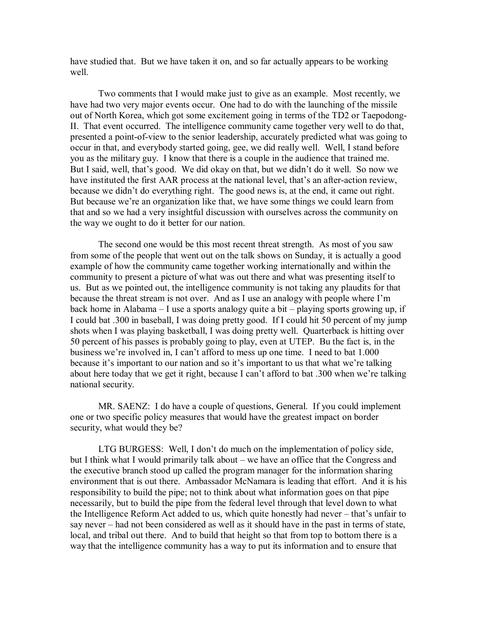have studied that. But we have taken it on, and so far actually appears to be working well.

Two comments that I would make just to give as an example. Most recently, we have had two very major events occur. One had to do with the launching of the missile out of North Korea, which got some excitement going in terms of the TD2 or Taepodong-II. That event occurred. The intelligence community came together very well to do that, presented a point-of-view to the senior leadership, accurately predicted what was going to occur in that, and everybody started going, gee, we did really well. Well, I stand before you as the military guy. I know that there is a couple in the audience that trained me. But I said, well, that's good. We did okay on that, but we didn't do it well. So now we have instituted the first AAR process at the national level, that's an after-action review, because we didn't do everything right. The good news is, at the end, it came out right. But because we're an organization like that, we have some things we could learn from that and so we had a very insightful discussion with ourselves across the community on the way we ought to do it better for our nation.

The second one would be this most recent threat strength. As most of you saw from some of the people that went out on the talk shows on Sunday, it is actually a good example of how the community came together working internationally and within the community to present a picture of what was out there and what was presenting itself to us. But as we pointed out, the intelligence community is not taking any plaudits for that because the threat stream is not over. And as I use an analogy with people where I'm back home in Alabama  $-I$  use a sports analogy quite a bit  $-p$  playing sports growing up, if I could bat .300 in baseball, I was doing pretty good. If I could hit 50 percent of my jump shots when I was playing basketball, I was doing pretty well. Quarterback is hitting over 50 percent of his passes is probably going to play, even at UTEP. Bu the fact is, in the business we're involved in, I can't afford to mess up one time. I need to bat 1.000 because it's important to our nation and so it's important to us that what we're talking about here today that we get it right, because I can't afford to bat .300 when we're talking national security.

MR. SAENZ: I do have a couple of questions, General. If you could implement one or two specific policy measures that would have the greatest impact on border security, what would they be?

LTG BURGESS: Well, I don't do much on the implementation of policy side, but I think what I would primarily talk about  $-\omega$  we have an office that the Congress and the executive branch stood up called the program manager for the information sharing environment that is out there. Ambassador McNamara is leading that effort. And it is his responsibility to build the pipe; not to think about what information goes on that pipe necessarily, but to build the pipe from the federal level through that level down to what the Intelligence Reform Act added to us, which quite honestly had never – that's unfair to say never – had not been considered as well as it should have in the past in terms of state, local, and tribal out there. And to build that height so that from top to bottom there is a way that the intelligence community has a way to put its information and to ensure that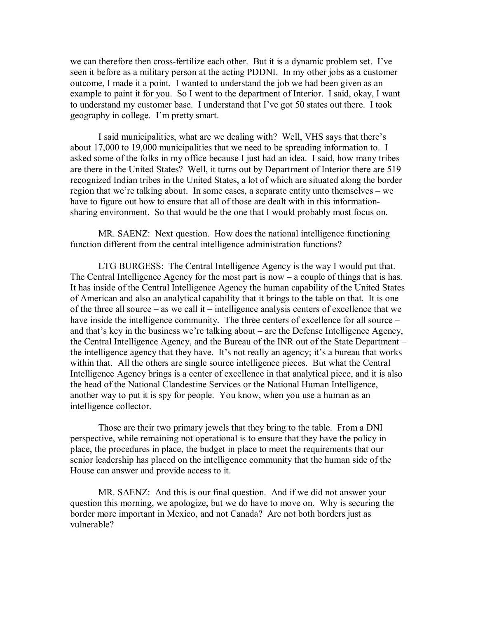we can therefore then cross-fertilize each other. But it is a dynamic problem set. I've seen it before as a military person at the acting PDDNI. In my other jobs as a customer outcome, I made it a point. I wanted to understand the job we had been given as an example to paint it for you. So I went to the department of Interior. I said, okay, I want to understand my customer base. I understand that I've got 50 states out there. I took geography in college. I'm pretty smart.

I said municipalities, what are we dealing with? Well, VHS says that there's about 17,000 to 19,000 municipalities that we need to be spreading information to. I asked some of the folks in my office because I just had an idea. I said, how many tribes are there in the United States? Well, it turns out by Department of Interior there are 519 recognized Indian tribes in the United States, a lot of which are situated along the border region that we're talking about. In some cases, a separate entity unto themselves  $-\mathbf{we}$ have to figure out how to ensure that all of those are dealt with in this informationsharing environment. So that would be the one that I would probably most focus on.

MR. SAENZ: Next question. How does the national intelligence functioning function different from the central intelligence administration functions?

LTG BURGESS: The Central Intelligence Agency is the way I would put that. The Central Intelligence Agency for the most part is now  $-$  a couple of things that is has. It has inside of the Central Intelligence Agency the human capability of the United States of American and also an analytical capability that it brings to the table on that. It is one of the three all source  $-\alpha$  as we call it  $-\alpha$  intelligence analysis centers of excellence that we have inside the intelligence community. The three centers of excellence for all source – and that's key in the business we're talking about – are the Defense Intelligence Agency, the Central Intelligence Agency, and the Bureau of the INR out of the State Department  $$ the intelligence agency that they have. It's not really an agency; it's a bureau that works within that. All the others are single source intelligence pieces. But what the Central Intelligence Agency brings is a center of excellence in that analytical piece, and it is also the head of the National Clandestine Services or the National Human Intelligence, another way to put it is spy for people. You know, when you use a human as an intelligence collector.

Those are their two primary jewels that they bring to the table. From a DNI perspective, while remaining not operational is to ensure that they have the policy in place, the procedures in place, the budget in place to meet the requirements that our senior leadership has placed on the intelligence community that the human side of the House can answer and provide access to it.

MR. SAENZ: And this is our final question. And if we did not answer your question this morning, we apologize, but we do have to move on. Why is securing the border more important in Mexico, and not Canada? Are not both borders just as vulnerable?